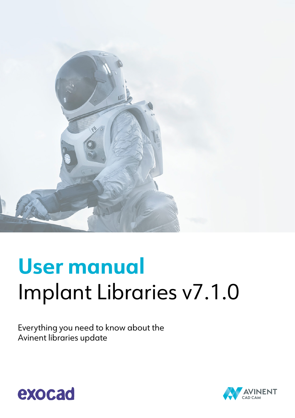

# **User manual** Implant Libraries v7.1.0

Everything you need to know about the Avinent libraries update



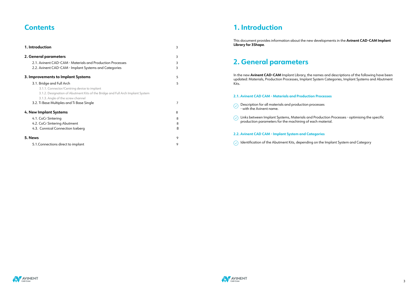### **Contents**

| 1. Introduction                                                                | 3 |  |
|--------------------------------------------------------------------------------|---|--|
| 2. General parameters                                                          |   |  |
| 2.1. Avinent CAD-CAM - Materials and Production Processes                      | 3 |  |
| 2.2. Avinent CAD-CAM - Implant Systems and Categories                          | 3 |  |
| 3. Improvements to Implant Systems                                             | 5 |  |
| 3.1. Bridge and Full Arch                                                      | 5 |  |
| 3.1.1. Connector/Centring device to implant                                    |   |  |
| 3.1.2. Designation of Abutment Kits of the Bridge and Full Arch Implant System |   |  |
| 3.1.3. Angle of the screw channel                                              |   |  |
| 3.2. Ti Base Multiples and Ti Base Single                                      | 7 |  |
| 4. New Implant Systems                                                         | 8 |  |
| 4.1. CoCr Sintering                                                            | 8 |  |
| 4.2. CoCr Sintering Abutment                                                   | 8 |  |
| 4.3. Connical Connection Iceberg                                               | 8 |  |
| 5. News                                                                        | 9 |  |
| 5.1. Connections direct to implant                                             | 9 |  |

 $\bigcirc$  Description for all materials and production processes - with the Avinent name.

### **1. Introduction**

 $\circled{C}$  Links between Implant Systems, Materials and Production Processes - optimising the specific production parameters for the machining of each material.

This document provides information about the new developments in the **Avinent CAD-CAM Implant Library for 3Shape**.

## **2. General parameters**

In the new **Avinent CAD-CAM** Implant Library, the names and descriptions of the following have been updated: Materials, Production Processes, Implant System Categories, Implant Systems and Abutment Kits.

#### **2.1. Avinent CAD CAM - Materials and Production Processes**

#### **2.2. Avinent CAD CAM - Implant System and Categories**

 $\circled{C}$  Identification of the Abutment Kits, depending on the Implant System and Category



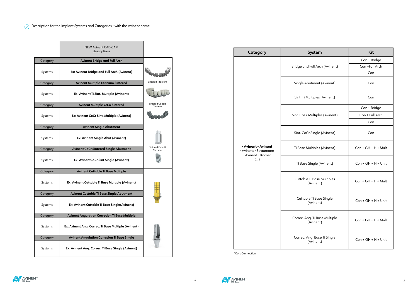$\overline{\Diamond}$  Description for the Implant Systems and Categories - with the Avinent name.

|          | <b>NEW Avinent CAD CAM</b><br>descriptions           |                                  |  |
|----------|------------------------------------------------------|----------------------------------|--|
| Category | <b>Avinent Bridge and Full Arch</b>                  |                                  |  |
| Systems  | Ex: Avinent Bridge and Full Arch (Avinent)           |                                  |  |
| Category | <b>Avinent Multiple Titanium Sintered</b>            | Sintered Titanium                |  |
| Systems  | Ex: Avinent Ti Sint. Multiple (Avinent)              |                                  |  |
| Category | <b>Avinent Multiple CrCo Sintered</b>                | <b>Sintered Cobalt</b><br>Chrome |  |
| Systems  | Ex: Avinent CoCr Sint. Multiple (Avinent)            |                                  |  |
| Category | <b>Avinent Single Abutment</b>                       |                                  |  |
| Systems  | Ex: Avinent Single Abut (Avinent)                    |                                  |  |
| Category | <b>Avinent CoCr Sintered Single Abutment</b>         | <b>Sintered Cobalt</b><br>Chrome |  |
| Systems  | <b>Ex: AvinentCoCr Sint Single (Avinent)</b>         |                                  |  |
| Category | <b>Avinent Cuttable Ti Base Multiple</b>             |                                  |  |
| Systems  | Ex: Avinent Cuttable Ti Base Multiple (Avinent)      |                                  |  |
| Category | <b>Avinent Cuttable Ti Base Single Abutment</b>      |                                  |  |
| Systems  | Ex: Avinent Cuttable Ti Base Single(Avinent)         |                                  |  |
| Category | <b>Avinent Angulation Correcion Ti Base Multiple</b> |                                  |  |
| Systems  | Ex: Avinent Ang. Correc. Ti Base Multiple (Avinent)  |                                  |  |
| Category | <b>Avinent Angulation Correcion Ti Base Single</b>   |                                  |  |
| Systems  | Ex: Avinent Ang. Correc. Ti Base Single (Avinent)    |                                  |  |

| <b>Category</b>                                                    | <b>System</b>                              | <b>Kit</b>                     |
|--------------------------------------------------------------------|--------------------------------------------|--------------------------------|
|                                                                    |                                            | Con + Bridge<br>Con +Full Arch |
|                                                                    | Bridge and Full Arch (Avinent)             |                                |
|                                                                    |                                            | Con                            |
|                                                                    | Single Abutment (Avinent)                  | Con                            |
|                                                                    | Sint. Ti Multiples (Avinent)               | Con                            |
|                                                                    |                                            | Con + Bridge                   |
|                                                                    | Sint. CoCr Multiples (Avinent)             | Con + Full Arch                |
|                                                                    |                                            | Con                            |
|                                                                    | Sint. CoCr Single (Avinent)                | Con                            |
| · Avinent - Avinent<br>· Avinent - Straumann<br>· Avinent - Biomet | Ti Base Múltiples (Avinent)                | $Con + GH + H + Mult$          |
| ()                                                                 | Ti Base Single (Avinent)                   | $Con + GH + H + Unit$          |
|                                                                    | Cuttable Ti Base Multiples<br>(Avinent)    | $Con + GH + H + Mult$          |
|                                                                    | Cuttable Ti Base Single<br>(Avinent)       | $Con + GH + H + Unit$          |
|                                                                    | Correc. Ang. Ti Base Multiple<br>(Avinent) | $Con + GH + H + Mult$          |
|                                                                    | Correc. Ang. Base Ti Single<br>(Avinent)   | $Con + GH + H + Unit$          |

\*Con: Connection



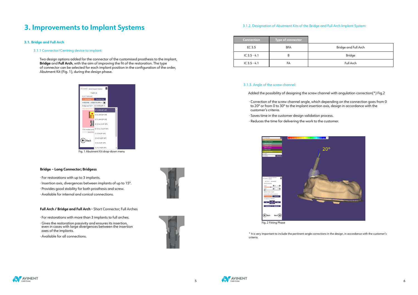### **3. Improvements to Implant Systems**

#### **3.1. Bridge and Full Arch**

#### 3.1.1 Connector/Centring device to implant:

 Two design options added for the connector of the customised prosthesis to the implant, **Bridge** and **Full Arch**, with the aim of improving the fit of the restoration. The type of connector can be selected for each implant position in the configuration of the order, Abutment Kit (Fig. 1), during the design phase.



Fig. 1 Abutment Kit drop-down menu

#### **Bridge – Long Connector; Bridgess**

- · For restorations with up to 3 implants.
- · Insertion axis, divergences between implants of up to 15º.
- · Provides good stability for both prosthesis and screw.
- · Available for internal and conical connections.

#### **Full Arch / Bridge and Full Arch -** Short Connector; Full Arches

- · For restorations with more than 3 implants to full arches.
- · Gives the restoration passivity and ensures its insertion, even in cases with large divergences between the insertion axes of the implants.
- · Available for all connections.







| Bridge and Full Arch |
|----------------------|
| <b>Bridge</b>        |
| Full Arch            |

### 3.1.2. Designation of Abutment Kits of the Bridge and Full Arch Implant System:

#### 3.1.3. Angle of the screw channel:

Added the possibility of designing the screw channel with angulation correction(\*) Fig.2

· Correction of the screw channel angle, which depending on the connection goes from 0

- to 20º or from 0 to 30º to the implant insertion axis, design in accordance with the customer's criteria.
- · Saves time in the customer design validation process.
- · Reduces the time for delivering the work to the customer.



Fig. 2 Fitting Phase

\* It is very important to include the pertinent angle corrections in the design, in accordance with the customer's criteria.



|                             | Type of connector | <b>Connection</b> |
|-----------------------------|-------------------|-------------------|
| <b>Bridge and Full Arch</b> | <b>BFA</b>        | EC 3.5            |
| <b>Bridge</b>               |                   | IC $3.5 - 4.1$    |
| Full Arch                   | FA                | IC $3.5 - 4.1$    |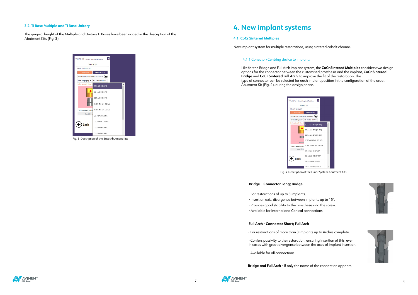Fig. 3 Description of the Base Abutment Kits









Fig. 4 Description of the Lunar System Abutment Kits

### **4. New implant systems**

#### **4.1. CoCr Sintered Multiples**

New implant system for multiple restorations, using sintered cobalt chrome.

#### 4.1.1 Conector/Centring device to implant:

 Like for the Bridge and Full Arch implant system, the **CoCr Sintered Multiples** considers two design options for the connector between the customised prosthesis and the implant, **CoCr Sintered Bridge** and **CoCr Sintered Full Arch**, to improve the fit of the restoration. The type of connector can be selected for each implant position in the configuration of the order, Abutment Kit (Fig. 4), during the design phase.

#### **3.2. Ti Base Multiple and Ti Base Unitary**

The gingival height of the Multiple and Unitary Ti Bases have been added in the description of the Abutment Kits (Fig. 3).

#### izard Detect Implant Position  $\overline{\mathbf{2}}$ Tooth 16 SELECT IMPLANT Favorites only AVINENT® - AVINENT® BASE▼ (★) Non-Engaging \* EC 3.5 GH 0.8 N\* EC 3.5 GH 0.8 NE EC 4.1 GH 0.5 NE EC 5.1 GH 0.5 NE IC 3.5-4.1 GH 0.8 NE Œ Click marked point IC 3.5-4.1 GH 1.3 NE Best fit n<br>CC 3.5 GH 0.8 NE CC 3.5 GH 1.25 NE  $(\Leftrightarrow)$  Back CC 4.1 GH 0.5 NE CC 4.1 GH 0.9 NE

#### **Bridge – Connector Long; Bridge**

- · For restorations of up to 3 implants.
- · Insertion axis, divergence between implants up to 15º.
- · Provides good stability to the prosthesis and the screw.
- · Available for Internal and Conical connections.

#### **Full Arch - Connector Short; Full Arch**

- · For restorations of more than 3 Implants up to Arches complete.
- · Confers passivity to the restoration, ensuring insertion of this, even in cases with great divergence between the axes of implant insertion.
- · Available for all connections.

 **Bridge and Full Arch -** If only the name of the connection appears.